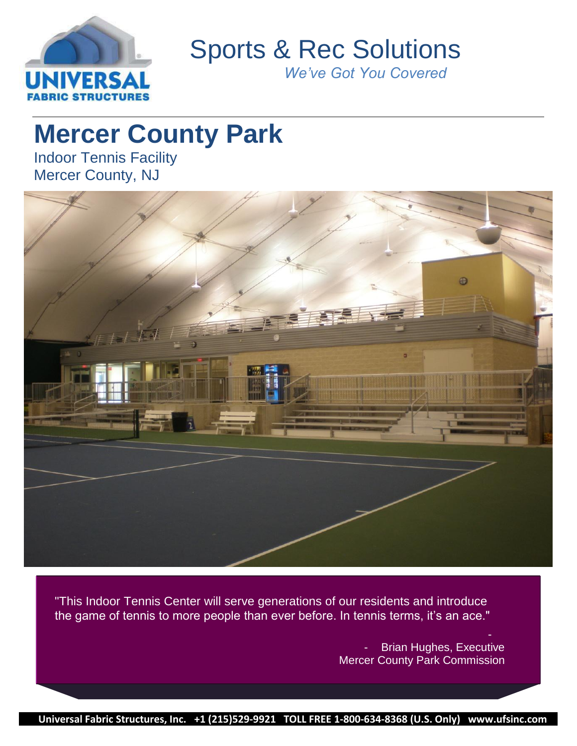

Sports & Rec Solutions

*We've Got You Covered*

# **Mercer County Park**

Indoor Tennis Facility Mercer County, NJ



"This Indoor Tennis Center will serve generations of our residents and introduce the game of tennis to more people than ever before. In tennis terms, it's an ace."

> - Brian Hughes, Executive Mercer County Park Commission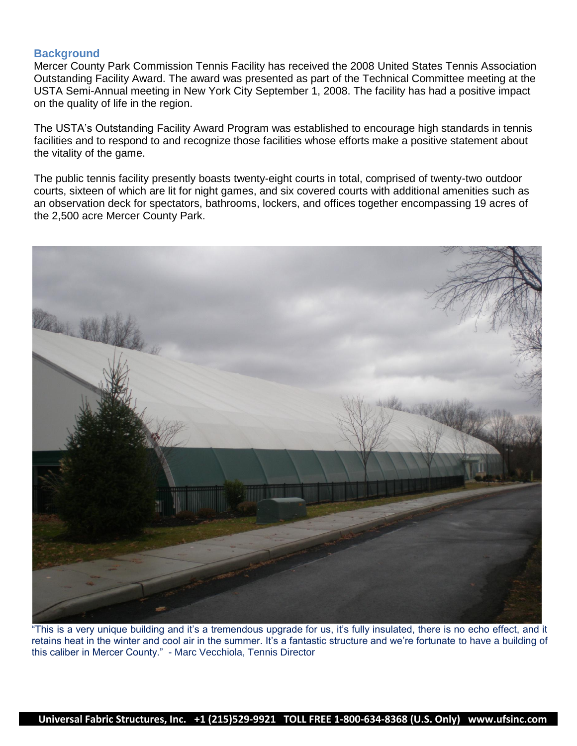## **Background**

Mercer County Park Commission Tennis Facility has received the 2008 United States Tennis Association Outstanding Facility Award. The award was presented as part of the Technical Committee meeting at the USTA Semi-Annual meeting in New York City September 1, 2008. The facility has had a positive impact on the quality of life in the region.

The USTA"s Outstanding Facility Award Program was established to encourage high standards in tennis facilities and to respond to and recognize those facilities whose efforts make a positive statement about the vitality of the game.

The public tennis facility presently boasts twenty-eight courts in total, comprised of twenty-two outdoor courts, sixteen of which are lit for night games, and six covered courts with additional amenities such as an observation deck for spectators, bathrooms, lockers, and offices together encompassing 19 acres of the 2,500 acre Mercer County Park.



"This is a very unique building and it"s a tremendous upgrade for us, it"s fully insulated, there is no echo effect, and it retains heat in the winter and cool air in the summer. It's a fantastic structure and we're fortunate to have a building of this caliber in Mercer County." - Marc Vecchiola, Tennis Director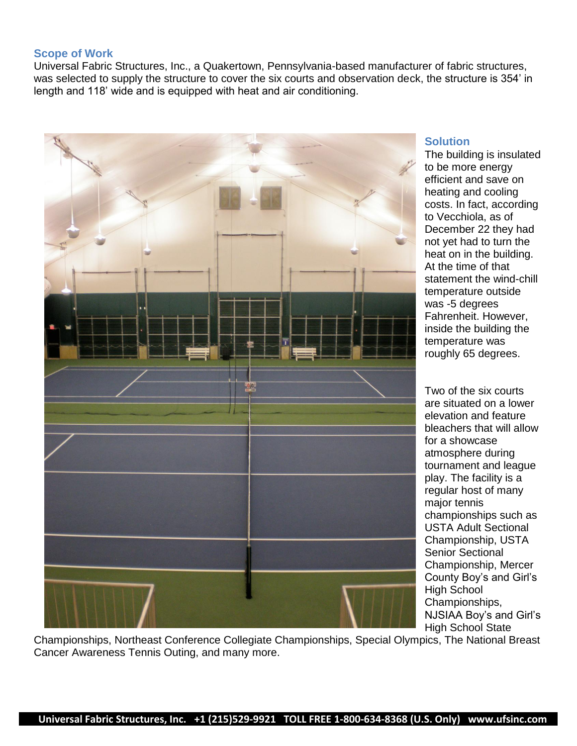## **Scope of Work**

Universal Fabric Structures, Inc., a Quakertown, Pennsylvania-based manufacturer of fabric structures, was selected to supply the structure to cover the six courts and observation deck, the structure is 354" in length and 118" wide and is equipped with heat and air conditioning.



# **Solution**

The building is insulated to be more energy efficient and save on heating and cooling costs. In fact, according to Vecchiola, as of December 22 they had not yet had to turn the heat on in the building. At the time of that statement the wind-chill temperature outside was -5 degrees Fahrenheit. However, inside the building the temperature was roughly 65 degrees.

Two of the six courts are situated on a lower elevation and feature bleachers that will allow for a showcase atmosphere during tournament and league play. The facility is a regular host of many major tennis championships such as USTA Adult Sectional Championship, USTA Senior Sectional Championship, Mercer County Boy"s and Girl"s High School Championships, NJSIAA Boy"s and Girl"s High School State

Championships, Northeast Conference Collegiate Championships, Special Olympics, The National Breast Cancer Awareness Tennis Outing, and many more.